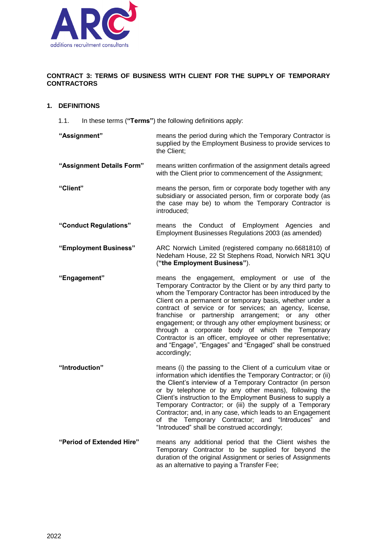

## **CONTRACT 3: TERMS OF BUSINESS WITH CLIENT FOR THE SUPPLY OF TEMPORARY CONTRACTORS**

## **1. DEFINITIONS**

- 1.1. In these terms (**"Terms"**) the following definitions apply:
- **"Assignment"** means the period during which the Temporary Contractor is supplied by the Employment Business to provide services to the Client; **"Assignment Details Form"** means written confirmation of the assignment details agreed with the Client prior to commencement of the Assignment; **"Client"** means the person, firm or corporate body together with any subsidiary or associated person, firm or corporate body (as the case may be) to whom the Temporary Contractor is introduced; **"Conduct Regulations"** means the Conduct of Employment Agencies and Employment Businesses Regulations 2003 (as amended) **"Employment Business"** ARC Norwich Limited (registered company no.6681810) of Nedeham House, 22 St Stephens Road, Norwich NR1 3QU (**"the Employment Business"**).
- **"Engagement"** means the engagement, employment or use of the Temporary Contractor by the Client or by any third party to whom the Temporary Contractor has been introduced by the Client on a permanent or temporary basis, whether under a contract of service or for services; an agency, license, franchise or partnership arrangement; or any other engagement; or through any other employment business; or through a corporate body of which the Temporary Contractor is an officer, employee or other representative; and "Engage", "Engages" and "Engaged" shall be construed accordingly;
- **"Introduction"** means (i) the passing to the Client of a curriculum vitae or information which identifies the Temporary Contractor; or (ii) the Client's interview of a Temporary Contractor (in person or by telephone or by any other means), following the Client's instruction to the Employment Business to supply a Temporary Contractor; or (iii) the supply of a Temporary Contractor; and, in any case, which leads to an Engagement of the Temporary Contractor; and "Introduces" and "Introduced" shall be construed accordingly;
- **"Period of Extended Hire"** means any additional period that the Client wishes the Temporary Contractor to be supplied for beyond the duration of the original Assignment or series of Assignments as an alternative to paying a Transfer Fee;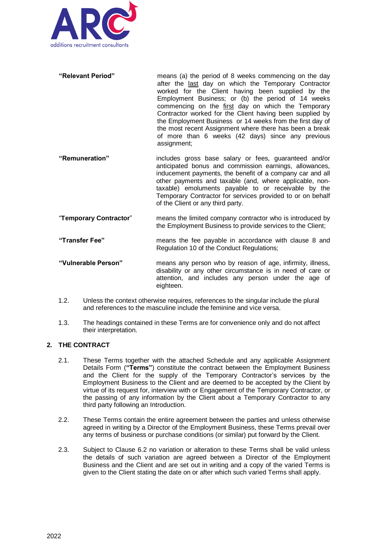

- **"Relevant Period"** means (a) the period of 8 weeks commencing on the day after the last day on which the Temporary Contractor worked for the Client having been supplied by the Employment Business; or (b) the period of 14 weeks commencing on the first day on which the Temporary Contractor worked for the Client having been supplied by the Employment Business or 14 weeks from the first day of the most recent Assignment where there has been a break of more than 6 weeks (42 days) since any previous assignment;
- **"Remuneration"** includes gross base salary or fees, guaranteed and/or anticipated bonus and commission earnings, allowances, inducement payments, the benefit of a company car and all other payments and taxable (and, where applicable, nontaxable) emoluments payable to or receivable by the Temporary Contractor for services provided to or on behalf of the Client or any third party.
- "**Temporary Contractor**" means the limited company contractor who is introduced by the Employment Business to provide services to the Client;
- **"Transfer Fee"** means the fee payable in accordance with clause 8 and Regulation 10 of the Conduct Regulations;
- **"Vulnerable Person"** means any person who by reason of age, infirmity, illness, disability or any other circumstance is in need of care or attention, and includes any person under the age of eighteen.
- 1.2. Unless the context otherwise requires, references to the singular include the plural and references to the masculine include the feminine and vice versa.
- 1.3. The headings contained in these Terms are for convenience only and do not affect their interpretation.

# **2. THE CONTRACT**

- 2.1. These Terms together with the attached Schedule and any applicable Assignment Details Form (**"Terms"**) constitute the contract between the Employment Business and the Client for the supply of the Temporary Contractor's services by the Employment Business to the Client and are deemed to be accepted by the Client by virtue of its request for, interview with or Engagement of the Temporary Contractor, or the passing of any information by the Client about a Temporary Contractor to any third party following an Introduction.
- 2.2. These Terms contain the entire agreement between the parties and unless otherwise agreed in writing by a Director of the Employment Business, these Terms prevail over any terms of business or purchase conditions (or similar) put forward by the Client.
- 2.3. Subject to Clause 6.2 no variation or alteration to these Terms shall be valid unless the details of such variation are agreed between a Director of the Employment Business and the Client and are set out in writing and a copy of the varied Terms is given to the Client stating the date on or after which such varied Terms shall apply.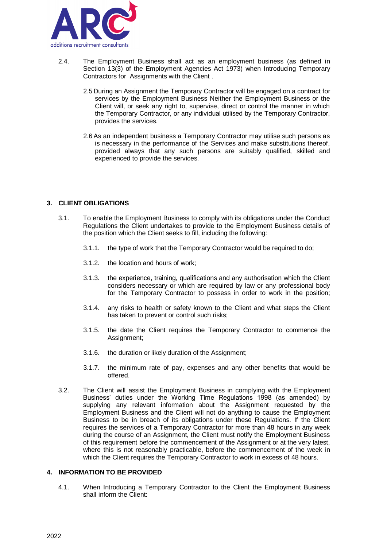

- 2.4. The Employment Business shall act as an employment business (as defined in Section 13(3) of the Employment Agencies Act 1973) when Introducing Temporary Contractors for Assignments with the Client .
	- 2.5 During an Assignment the Temporary Contractor will be engaged on a contract for services by the Employment Business Neither the Employment Business or the Client will, or seek any right to, supervise, direct or control the manner in which the Temporary Contractor, or any individual utilised by the Temporary Contractor, provides the services.
	- 2.6 As an independent business a Temporary Contractor may utilise such persons as is necessary in the performance of the Services and make substitutions thereof, provided always that any such persons are suitably qualified, skilled and experienced to provide the services.

## **3. CLIENT OBLIGATIONS**

- 3.1. To enable the Employment Business to comply with its obligations under the Conduct Regulations the Client undertakes to provide to the Employment Business details of the position which the Client seeks to fill, including the following:
	- 3.1.1. the type of work that the Temporary Contractor would be required to do;
	- 3.1.2. the location and hours of work;
	- 3.1.3. the experience, training, qualifications and any authorisation which the Client considers necessary or which are required by law or any professional body for the Temporary Contractor to possess in order to work in the position;
	- 3.1.4. any risks to health or safety known to the Client and what steps the Client has taken to prevent or control such risks;
	- 3.1.5. the date the Client requires the Temporary Contractor to commence the Assignment;
	- 3.1.6. the duration or likely duration of the Assignment;
	- 3.1.7. the minimum rate of pay, expenses and any other benefits that would be offered.
- 3.2. The Client will assist the Employment Business in complying with the Employment Business' duties under the Working Time Regulations 1998 (as amended) by supplying any relevant information about the Assignment requested by the Employment Business and the Client will not do anything to cause the Employment Business to be in breach of its obligations under these Regulations. If the Client requires the services of a Temporary Contractor for more than 48 hours in any week during the course of an Assignment, the Client must notify the Employment Business of this requirement before the commencement of the Assignment or at the very latest, where this is not reasonably practicable, before the commencement of the week in which the Client requires the Temporary Contractor to work in excess of 48 hours.

## **4. INFORMATION TO BE PROVIDED**

4.1. When Introducing a Temporary Contractor to the Client the Employment Business shall inform the Client: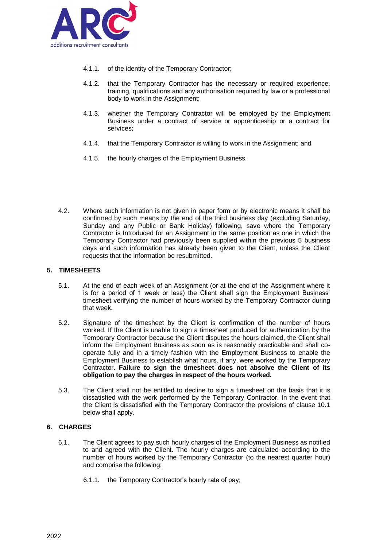

- 4.1.1. of the identity of the Temporary Contractor;
- 4.1.2. that the Temporary Contractor has the necessary or required experience, training, qualifications and any authorisation required by law or a professional body to work in the Assignment;
- 4.1.3. whether the Temporary Contractor will be employed by the Employment Business under a contract of service or apprenticeship or a contract for services;
- 4.1.4. that the Temporary Contractor is willing to work in the Assignment; and
- 4.1.5. the hourly charges of the Employment Business.
- 4.2. Where such information is not given in paper form or by electronic means it shall be confirmed by such means by the end of the third business day (excluding Saturday, Sunday and any Public or Bank Holiday) following, save where the Temporary Contractor is Introduced for an Assignment in the same position as one in which the Temporary Contractor had previously been supplied within the previous 5 business days and such information has already been given to the Client, unless the Client requests that the information be resubmitted.

### **5. TIMESHEETS**

- 5.1. At the end of each week of an Assignment (or at the end of the Assignment where it is for a period of 1 week or less) the Client shall sign the Employment Business' timesheet verifying the number of hours worked by the Temporary Contractor during that week.
- 5.2. Signature of the timesheet by the Client is confirmation of the number of hours worked. If the Client is unable to sign a timesheet produced for authentication by the Temporary Contractor because the Client disputes the hours claimed, the Client shall inform the Employment Business as soon as is reasonably practicable and shall cooperate fully and in a timely fashion with the Employment Business to enable the Employment Business to establish what hours, if any, were worked by the Temporary Contractor. **Failure to sign the timesheet does not absolve the Client of its obligation to pay the charges in respect of the hours worked.**
- 5.3. The Client shall not be entitled to decline to sign a timesheet on the basis that it is dissatisfied with the work performed by the Temporary Contractor. In the event that the Client is dissatisfied with the Temporary Contractor the provisions of clause 10.1 below shall apply.

## **6. CHARGES**

- 6.1. The Client agrees to pay such hourly charges of the Employment Business as notified to and agreed with the Client. The hourly charges are calculated according to the number of hours worked by the Temporary Contractor (to the nearest quarter hour) and comprise the following:
	- 6.1.1. the Temporary Contractor's hourly rate of pay;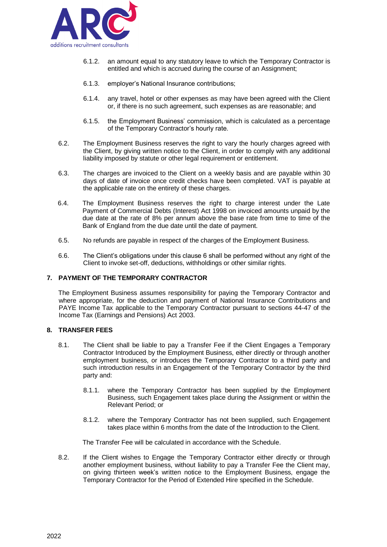

- 6.1.2. an amount equal to any statutory leave to which the Temporary Contractor is entitled and which is accrued during the course of an Assignment;
- 6.1.3. employer's National Insurance contributions;
- 6.1.4. any travel, hotel or other expenses as may have been agreed with the Client or, if there is no such agreement, such expenses as are reasonable; and
- 6.1.5. the Employment Business' commission, which is calculated as a percentage of the Temporary Contractor's hourly rate.
- 6.2. The Employment Business reserves the right to vary the hourly charges agreed with the Client, by giving written notice to the Client, in order to comply with any additional liability imposed by statute or other legal requirement or entitlement.
- 6.3. The charges are invoiced to the Client on a weekly basis and are payable within 30 days of date of invoice once credit checks have been completed. VAT is payable at the applicable rate on the entirety of these charges.
- 6.4. The Employment Business reserves the right to charge interest under the Late Payment of Commercial Debts (Interest) Act 1998 on invoiced amounts unpaid by the due date at the rate of 8% per annum above the base rate from time to time of the Bank of England from the due date until the date of payment.
- 6.5. No refunds are payable in respect of the charges of the Employment Business.
- 6.6. The Client's obligations under this clause 6 shall be performed without any right of the Client to invoke set-off, deductions, withholdings or other similar rights.

#### **7. PAYMENT OF THE TEMPORARY CONTRACTOR**

The Employment Business assumes responsibility for paying the Temporary Contractor and where appropriate, for the deduction and payment of National Insurance Contributions and PAYE Income Tax applicable to the Temporary Contractor pursuant to sections 44-47 of the Income Tax (Earnings and Pensions) Act 2003.

#### **8. TRANSFER FEES**

- 8.1. The Client shall be liable to pay a Transfer Fee if the Client Engages a Temporary Contractor Introduced by the Employment Business, either directly or through another employment business, or introduces the Temporary Contractor to a third party and such introduction results in an Engagement of the Temporary Contractor by the third party and:
	- 8.1.1. where the Temporary Contractor has been supplied by the Employment Business, such Engagement takes place during the Assignment or within the Relevant Period; or
	- 8.1.2. where the Temporary Contractor has not been supplied, such Engagement takes place within 6 months from the date of the Introduction to the Client.

The Transfer Fee will be calculated in accordance with the Schedule.

8.2. If the Client wishes to Engage the Temporary Contractor either directly or through another employment business, without liability to pay a Transfer Fee the Client may, on giving thirteen week's written notice to the Employment Business, engage the Temporary Contractor for the Period of Extended Hire specified in the Schedule.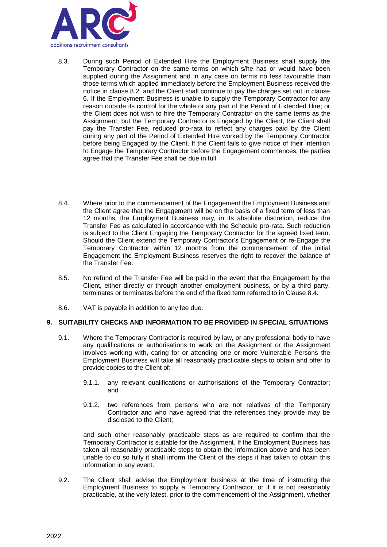

- 8.3. During such Period of Extended Hire the Employment Business shall supply the Temporary Contractor on the same terms on which s/he has or would have been supplied during the Assignment and in any case on terms no less favourable than those terms which applied immediately before the Employment Business received the notice in clause 8.2; and the Client shall continue to pay the charges set out in clause 6. If the Employment Business is unable to supply the Temporary Contractor for any reason outside its control for the whole or any part of the Period of Extended Hire; or the Client does not wish to hire the Temporary Contractor on the same terms as the Assignment; but the Temporary Contractor is Engaged by the Client, the Client shall pay the Transfer Fee, reduced pro-rata to reflect any charges paid by the Client during any part of the Period of Extended Hire worked by the Temporary Contractor before being Engaged by the Client. If the Client fails to give notice of their intention to Engage the Temporary Contractor before the Engagement commences, the parties agree that the Transfer Fee shall be due in full.
- 8.4. Where prior to the commencement of the Engagement the Employment Business and the Client agree that the Engagement will be on the basis of a fixed term of less than 12 months, the Employment Business may, in its absolute discretion, reduce the Transfer Fee as calculated in accordance with the Schedule pro-rata. Such reduction is subject to the Client Engaging the Temporary Contractor for the agreed fixed term. Should the Client extend the Temporary Contractor's Engagement or re-Engage the Temporary Contractor within 12 months from the commencement of the initial Engagement the Employment Business reserves the right to recover the balance of the Transfer Fee.
- 8.5. No refund of the Transfer Fee will be paid in the event that the Engagement by the Client, either directly or through another employment business, or by a third party, terminates or terminates before the end of the fixed term referred to in Clause 8.4.
- 8.6. VAT is payable in addition to any fee due.

#### **9. SUITABILITY CHECKS AND INFORMATION TO BE PROVIDED IN SPECIAL SITUATIONS**

- 9.1. Where the Temporary Contractor is required by law, or any professional body to have any qualifications or authorisations to work on the Assignment or the Assignment involves working with, caring for or attending one or more Vulnerable Persons the Employment Business will take all reasonably practicable steps to obtain and offer to provide copies to the Client of:
	- 9.1.1. any relevant qualifications or authorisations of the Temporary Contractor; and
	- 9.1.2. two references from persons who are not relatives of the Temporary Contractor and who have agreed that the references they provide may be disclosed to the Client;

and such other reasonably practicable steps as are required to confirm that the Temporary Contractor is suitable for the Assignment. If the Employment Business has taken all reasonably practicable steps to obtain the information above and has been unable to do so fully it shall inform the Client of the steps it has taken to obtain this information in any event.

9.2. The Client shall advise the Employment Business at the time of instructing the Employment Business to supply a Temporary Contractor, or if it is not reasonably practicable, at the very latest, prior to the commencement of the Assignment, whether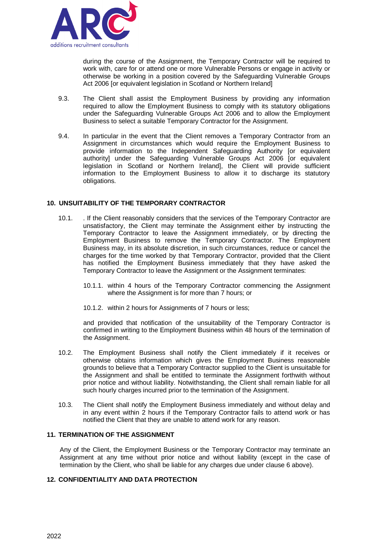

during the course of the Assignment, the Temporary Contractor will be required to work with, care for or attend one or more Vulnerable Persons or engage in activity or otherwise be working in a position covered by the Safeguarding Vulnerable Groups Act 2006 for equivalent legislation in Scotland or Northern Ireland]

- 9.3. The Client shall assist the Employment Business by providing any information required to allow the Employment Business to comply with its statutory obligations under the Safeguarding Vulnerable Groups Act 2006 and to allow the Employment Business to select a suitable Temporary Contractor for the Assignment.
- 9.4. In particular in the event that the Client removes a Temporary Contractor from an Assignment in circumstances which would require the Employment Business to provide information to the Independent Safeguarding Authority [or equivalent authority] under the Safeguarding Vulnerable Groups Act 2006 [or equivalent legislation in Scotland or Northern Ireland], the Client will provide sufficient information to the Employment Business to allow it to discharge its statutory obligations.

## **10. UNSUITABILITY OF THE TEMPORARY CONTRACTOR**

- 10.1. . If the Client reasonably considers that the services of the Temporary Contractor are unsatisfactory, the Client may terminate the Assignment either by instructing the Temporary Contractor to leave the Assignment immediately, or by directing the Employment Business to remove the Temporary Contractor. The Employment Business may, in its absolute discretion, in such circumstances, reduce or cancel the charges for the time worked by that Temporary Contractor, provided that the Client has notified the Employment Business immediately that they have asked the Temporary Contractor to leave the Assignment or the Assignment terminates:
	- 10.1.1. within 4 hours of the Temporary Contractor commencing the Assignment where the Assignment is for more than 7 hours; or
	- 10.1.2. within 2 hours for Assignments of 7 hours or less;

and provided that notification of the unsuitability of the Temporary Contractor is confirmed in writing to the Employment Business within 48 hours of the termination of the Assignment.

- 10.2. The Employment Business shall notify the Client immediately if it receives or otherwise obtains information which gives the Employment Business reasonable grounds to believe that a Temporary Contractor supplied to the Client is unsuitable for the Assignment and shall be entitled to terminate the Assignment forthwith without prior notice and without liability. Notwithstanding, the Client shall remain liable for all such hourly charges incurred prior to the termination of the Assignment.
- 10.3. The Client shall notify the Employment Business immediately and without delay and in any event within 2 hours if the Temporary Contractor fails to attend work or has notified the Client that they are unable to attend work for any reason.

#### **11. TERMINATION OF THE ASSIGNMENT**

Any of the Client, the Employment Business or the Temporary Contractor may terminate an Assignment at any time without prior notice and without liability (except in the case of termination by the Client, who shall be liable for any charges due under clause 6 above).

## **12. CONFIDENTIALITY AND DATA PROTECTION**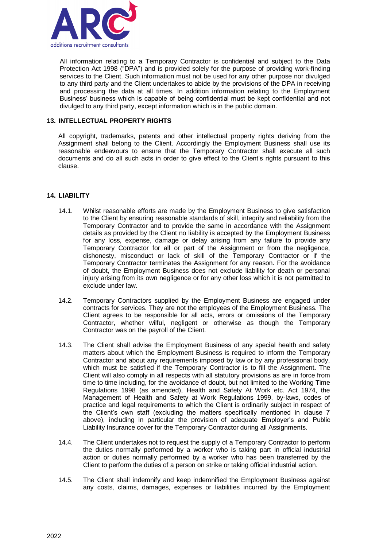

All information relating to a Temporary Contractor is confidential and subject to the Data Protection Act 1998 ("DPA") and is provided solely for the purpose of providing work-finding services to the Client. Such information must not be used for any other purpose nor divulged to any third party and the Client undertakes to abide by the provisions of the DPA in receiving and processing the data at all times. In addition information relating to the Employment Business' business which is capable of being confidential must be kept confidential and not divulged to any third party, except information which is in the public domain.

## **13. INTELLECTUAL PROPERTY RIGHTS**

All copyright, trademarks, patents and other intellectual property rights deriving from the Assignment shall belong to the Client. Accordingly the Employment Business shall use its reasonable endeavours to ensure that the Temporary Contractor shall execute all such documents and do all such acts in order to give effect to the Client's rights pursuant to this clause.

## **14. LIABILITY**

- 14.1. Whilst reasonable efforts are made by the Employment Business to give satisfaction to the Client by ensuring reasonable standards of skill, integrity and reliability from the Temporary Contractor and to provide the same in accordance with the Assignment details as provided by the Client no liability is accepted by the Employment Business for any loss, expense, damage or delay arising from any failure to provide any Temporary Contractor for all or part of the Assignment or from the negligence, dishonesty, misconduct or lack of skill of the Temporary Contractor or if the Temporary Contractor terminates the Assignment for any reason. For the avoidance of doubt, the Employment Business does not exclude liability for death or personal injury arising from its own negligence or for any other loss which it is not permitted to exclude under law.
- 14.2. Temporary Contractors supplied by the Employment Business are engaged under contracts for services. They are not the employees of the Employment Business. The Client agrees to be responsible for all acts, errors or omissions of the Temporary Contractor, whether wilful, negligent or otherwise as though the Temporary Contractor was on the payroll of the Client.
- 14.3. The Client shall advise the Employment Business of any special health and safety matters about which the Employment Business is required to inform the Temporary Contractor and about any requirements imposed by law or by any professional body, which must be satisfied if the Temporary Contractor is to fill the Assignment**.** The Client will also comply in all respects with all statutory provisions as are in force from time to time including, for the avoidance of doubt, but not limited to the Working Time Regulations 1998 (as amended), Health and Safety At Work etc. Act 1974, the Management of Health and Safety at Work Regulations 1999, by-laws, codes of practice and legal requirements to which the Client is ordinarily subject in respect of the Client's own staff (excluding the matters specifically mentioned in clause 7 above), including in particular the provision of adequate Employer's and Public Liability Insurance cover for the Temporary Contractor during all Assignments.
- 14.4. The Client undertakes not to request the supply of a Temporary Contractor to perform the duties normally performed by a worker who is taking part in official industrial action or duties normally performed by a worker who has been transferred by the Client to perform the duties of a person on strike or taking official industrial action.
- 14.5. The Client shall indemnify and keep indemnified the Employment Business against any costs, claims, damages, expenses or liabilities incurred by the Employment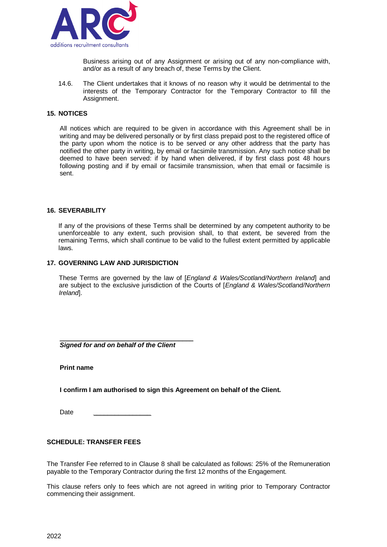

Business arising out of any Assignment or arising out of any non-compliance with, and/or as a result of any breach of, these Terms by the Client.

14.6. The Client undertakes that it knows of no reason why it would be detrimental to the interests of the Temporary Contractor for the Temporary Contractor to fill the Assignment.

### **15. NOTICES**

All notices which are required to be given in accordance with this Agreement shall be in writing and may be delivered personally or by first class prepaid post to the registered office of the party upon whom the notice is to be served or any other address that the party has notified the other party in writing, by email or facsimile transmission. Any such notice shall be deemed to have been served: if by hand when delivered, if by first class post 48 hours following posting and if by email or facsimile transmission, when that email or facsimile is sent.

#### **16. SEVERABILITY**

If any of the provisions of these Terms shall be determined by any competent authority to be unenforceable to any extent, such provision shall, to that extent, be severed from the remaining Terms, which shall continue to be valid to the fullest extent permitted by applicable laws.

#### **17. GOVERNING LAW AND JURISDICTION**

These Terms are governed by the law of [*England & Wales/Scotland/Northern Ireland*] and are subject to the exclusive jurisdiction of the Courts of [*England & Wales/Scotland/Northern Ireland*].

\_\_\_\_\_\_\_\_\_\_\_\_\_\_\_\_\_\_\_\_\_\_\_\_\_\_\_\_\_\_\_\_\_\_\_\_\_ *Signed for and on behalf of the Client* 

**Print name**

**I confirm I am authorised to sign this Agreement on behalf of the Client.** 

Date *\_\_\_\_\_\_\_\_\_\_\_\_\_\_\_\_*

#### **SCHEDULE: TRANSFER FEES**

The Transfer Fee referred to in Clause 8 shall be calculated as follows: 25% of the Remuneration payable to the Temporary Contractor during the first 12 months of the Engagement.

This clause refers only to fees which are not agreed in writing prior to Temporary Contractor commencing their assignment.